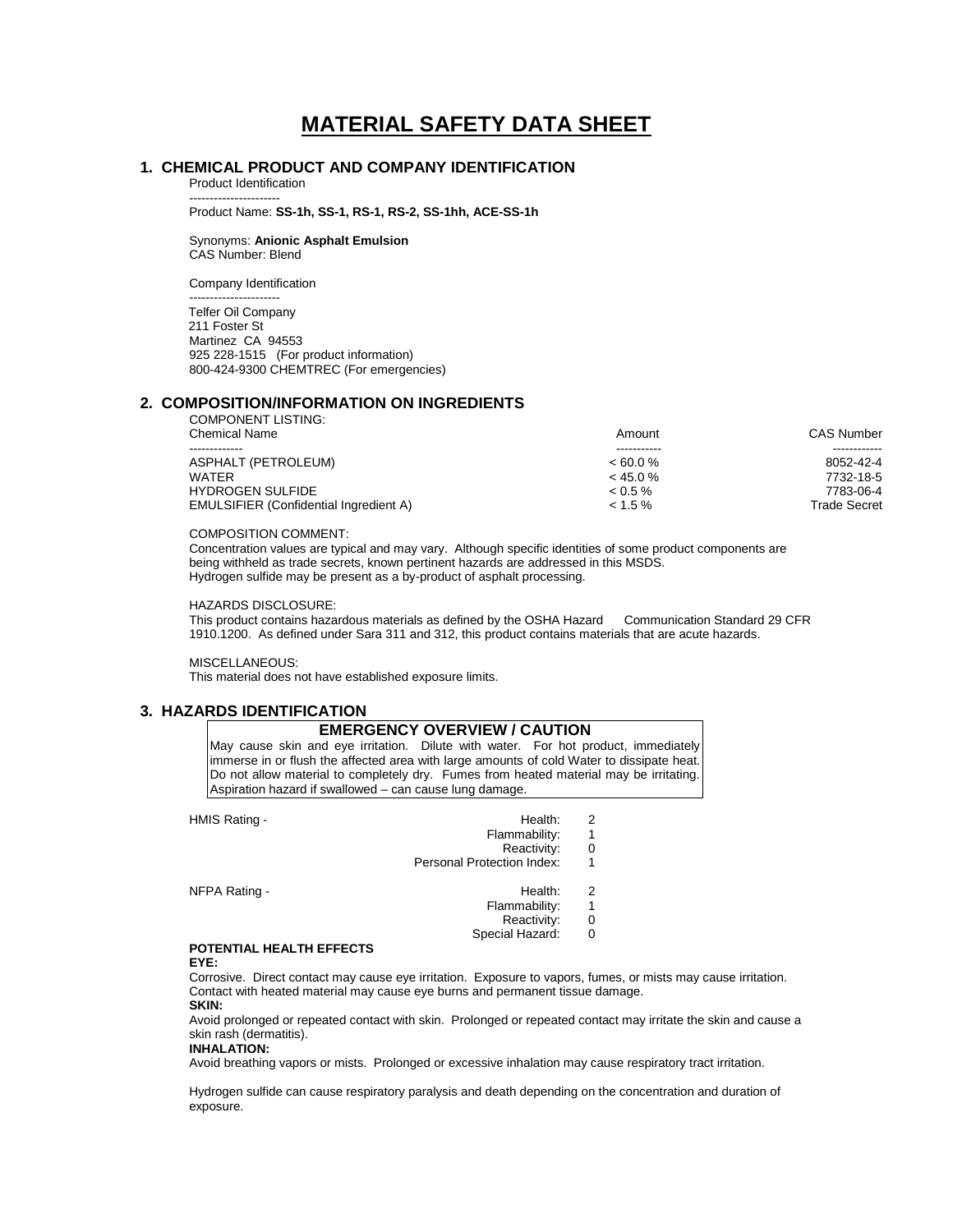# **MATERIAL SAFETY DATA SHEET**

## **1. CHEMICAL PRODUCT AND COMPANY IDENTIFICATION**

Product Identification ----------------------

Product Name: **SS-1h, SS-1, RS-1, RS-2, SS-1hh, ACE-SS-1h**

Synonyms: **Anionic Asphalt Emulsion** CAS Number: Blend

Company Identification

---------------------- Telfer Oil Company 211 Foster St Martinez CA 94553 925 228-1515 (For product information) 800-424-9300 CHEMTREC (For emergencies)

#### **2. COMPOSITION/INFORMATION ON INGREDIENTS** COMPONENT LISTING:

| <u>UUMI UNLIVI LIUTIIVU.</u><br><b>Chemical Name</b> | Amount     | CAS Number   |
|------------------------------------------------------|------------|--------------|
|                                                      |            |              |
| ASPHALT (PETROLEUM)                                  | $<60.0\%$  | 8052-42-4    |
| <b>WATFR</b>                                         | $<$ 45.0 % | 7732-18-5    |
| <b>HYDROGEN SULFIDE</b>                              | $0.5\%$    | 7783-06-4    |
| <b>EMULSIFIER (Confidential Ingredient A)</b>        | $< 1.5 \%$ | Trade Secret |
|                                                      |            |              |

#### COMPOSITION COMMENT:

Concentration values are typical and may vary. Although specific identities of some product components are being withheld as trade secrets, known pertinent hazards are addressed in this MSDS. Hydrogen sulfide may be present as a by-product of asphalt processing.

#### HAZARDS DISCLOSURE:

This product contains hazardous materials as defined by the OSHA Hazard Communication Standard 29 CFR 1910.1200. As defined under Sara 311 and 312, this product contains materials that are acute hazards.

#### MISCELLANEOUS:

This material does not have established exposure limits.

## **3. HAZARDS IDENTIFICATION**

### **EMERGENCY OVERVIEW / CAUTION**

May cause skin and eye irritation. Dilute with water. For hot product, immediately immerse in or flush the affected area with large amounts of cold Water to dissipate heat. Do not allow material to completely dry. Fumes from heated material may be irritating. Aspiration hazard if swallowed – can cause lung damage.

| HMIS Rating - | Health:                    | 2 |
|---------------|----------------------------|---|
|               | Flammability:              | 1 |
|               | Reactivity:                | 0 |
|               | Personal Protection Index: | 1 |
| NFPA Rating - | Health:                    | 2 |
|               | Flammability:              | 1 |
|               | Reactivity:                | 0 |
|               | Special Hazard:            | 0 |

## **POTENTIAL HEALTH EFFECTS**

**EYE:**

Corrosive. Direct contact may cause eye irritation. Exposure to vapors, fumes, or mists may cause irritation. Contact with heated material may cause eye burns and permanent tissue damage. **SKIN:**

Avoid prolonged or repeated contact with skin. Prolonged or repeated contact may irritate the skin and cause a skin rash (dermatitis).

#### **INHALATION:**

Avoid breathing vapors or mists. Prolonged or excessive inhalation may cause respiratory tract irritation.

Hydrogen sulfide can cause respiratory paralysis and death depending on the concentration and duration of exposure.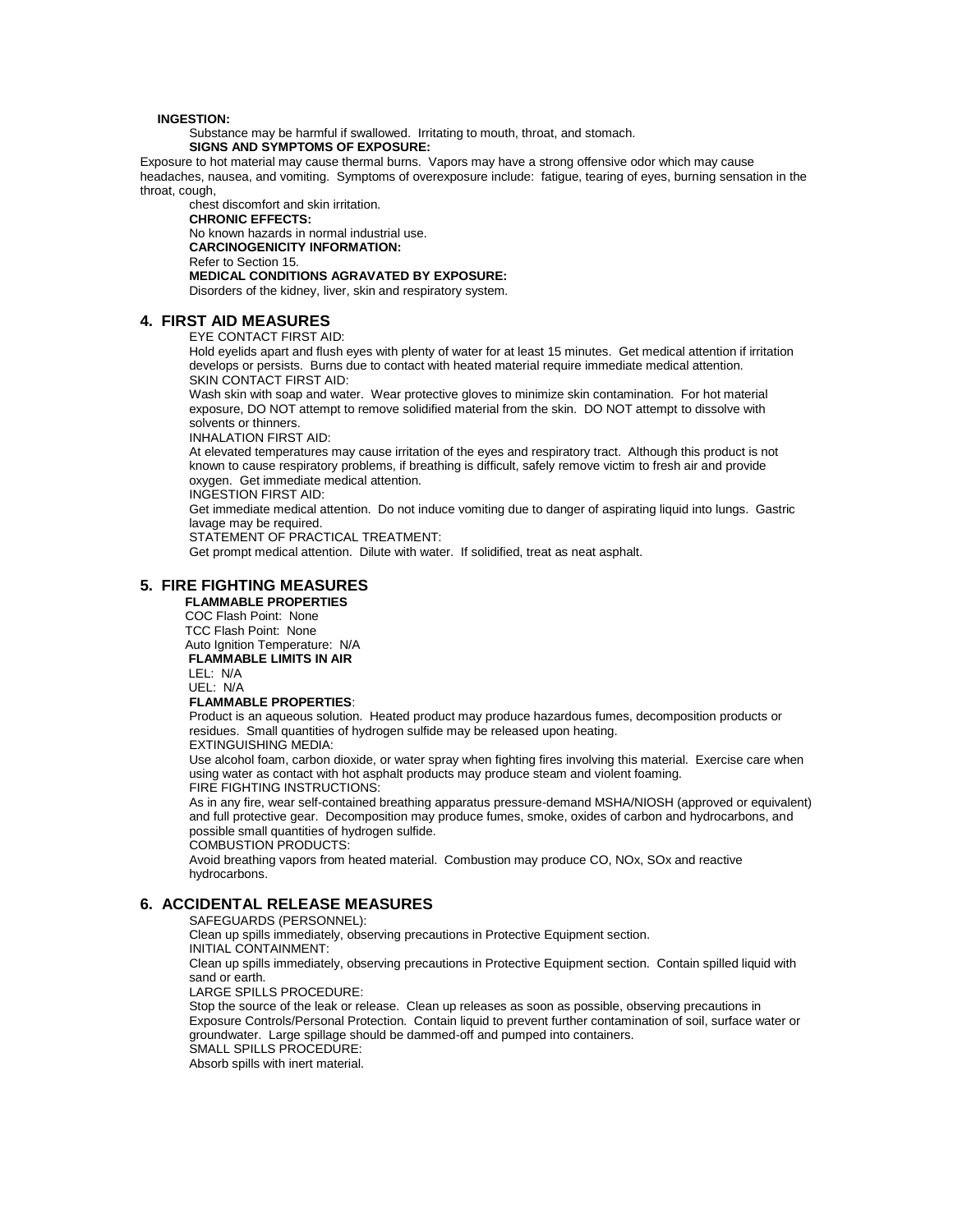#### **INGESTION:**

Substance may be harmful if swallowed. Irritating to mouth, throat, and stomach.

**SIGNS AND SYMPTOMS OF EXPOSURE:**

Exposure to hot material may cause thermal burns. Vapors may have a strong offensive odor which may cause headaches, nausea, and vomiting. Symptoms of overexposure include: fatigue, tearing of eyes, burning sensation in the throat, cough,

chest discomfort and skin irritation. **CHRONIC EFFECTS:** No known hazards in normal industrial use. **CARCINOGENICITY INFORMATION:** Refer to Section 15. **MEDICAL CONDITIONS AGRAVATED BY EXPOSURE:** Disorders of the kidney, liver, skin and respiratory system.

#### **4. FIRST AID MEASURES**

EYE CONTACT FIRST AID:

Hold eyelids apart and flush eyes with plenty of water for at least 15 minutes. Get medical attention if irritation develops or persists. Burns due to contact with heated material require immediate medical attention. SKIN CONTACT FIRST AID:

Wash skin with soap and water. Wear protective gloves to minimize skin contamination. For hot material exposure, DO NOT attempt to remove solidified material from the skin. DO NOT attempt to dissolve with solvents or thinners.

INHALATION FIRST AID:

At elevated temperatures may cause irritation of the eyes and respiratory tract. Although this product is not known to cause respiratory problems, if breathing is difficult, safely remove victim to fresh air and provide oxygen. Get immediate medical attention.

INGESTION FIRST AID:

Get immediate medical attention. Do not induce vomiting due to danger of aspirating liquid into lungs. Gastric lavage may be required.

STATEMENT OF PRACTICAL TREATMENT:

Get prompt medical attention. Dilute with water. If solidified, treat as neat asphalt.

#### **5. FIRE FIGHTING MEASURES**

 **FLAMMABLE PROPERTIES** COC Flash Point: None

 TCC Flash Point: None Auto Ignition Temperature: N/A

 **FLAMMABLE LIMITS IN AIR**

 LEL: N/A UEL: N/A

#### **FLAMMABLE PROPERTIES**:

Product is an aqueous solution. Heated product may produce hazardous fumes, decomposition products or residues. Small quantities of hydrogen sulfide may be released upon heating. EXTINGUISHING MEDIA:

Use alcohol foam, carbon dioxide, or water spray when fighting fires involving this material. Exercise care when using water as contact with hot asphalt products may produce steam and violent foaming. FIRE FIGHTING INSTRUCTIONS:

As in any fire, wear self-contained breathing apparatus pressure-demand MSHA/NIOSH (approved or equivalent) and full protective gear. Decomposition may produce fumes, smoke, oxides of carbon and hydrocarbons, and possible small quantities of hydrogen sulfide.

COMBUSTION PRODUCTS:

Avoid breathing vapors from heated material. Combustion may produce CO, NOx, SOx and reactive hydrocarbons.

#### **6. ACCIDENTAL RELEASE MEASURES**

SAFEGUARDS (PERSONNEL): Clean up spills immediately, observing precautions in Protective Equipment section. INITIAL CONTAINMENT: Clean up spills immediately, observing precautions in Protective Equipment section. Contain spilled liquid with sand or earth. LARGE SPILLS PROCEDURE: Stop the source of the leak or release. Clean up releases as soon as possible, observing precautions in Exposure Controls/Personal Protection. Contain liquid to prevent further contamination of soil, surface water or groundwater. Large spillage should be dammed-off and pumped into containers. SMALL SPILLS PROCEDURE: Absorb spills with inert material.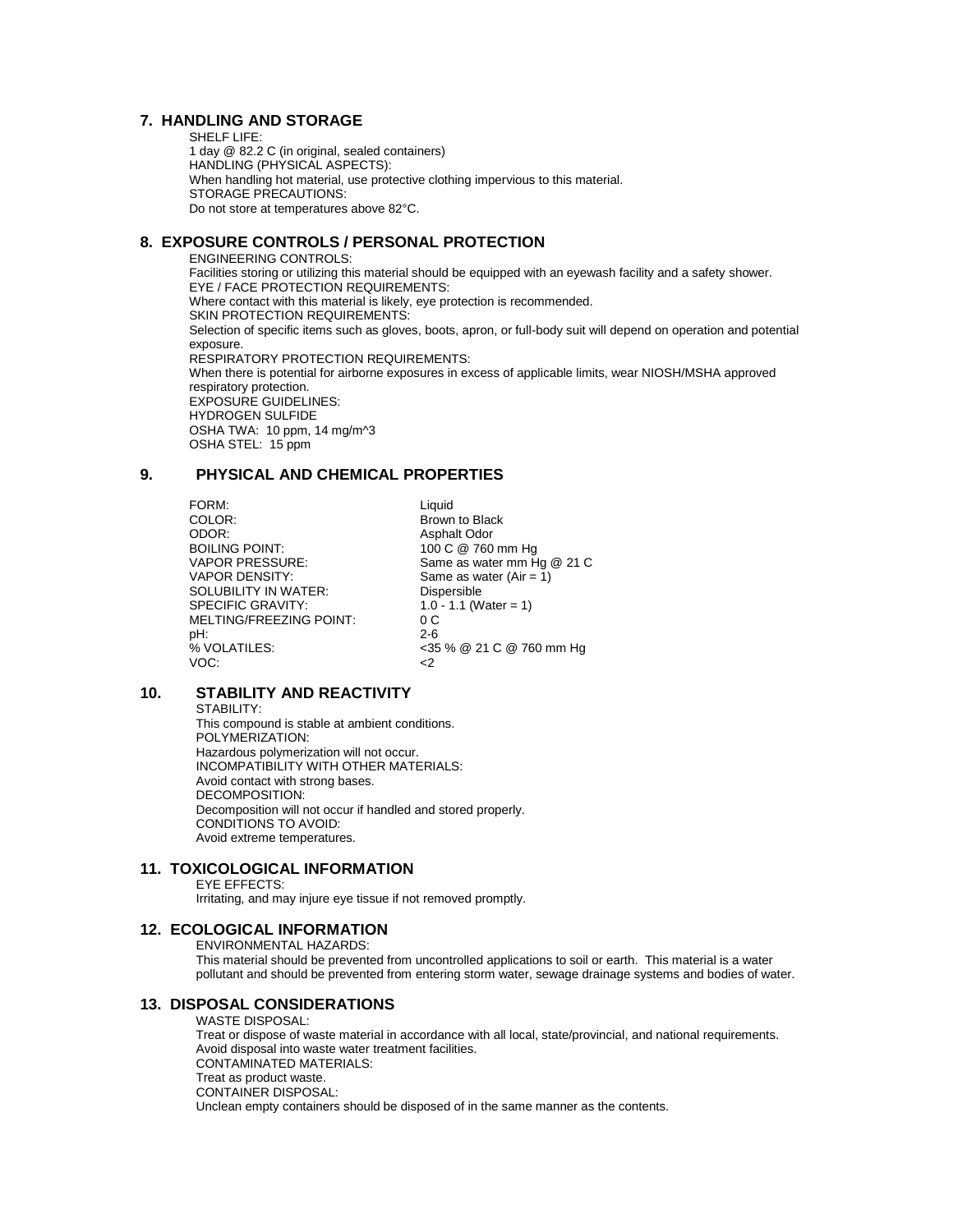## **7. HANDLING AND STORAGE**

SHELF LIFE: 1 day @ 82.2 C (in original, sealed containers) HANDLING (PHYSICAL ASPECTS): When handling hot material, use protective clothing impervious to this material. STORAGE PRECAUTIONS: Do not store at temperatures above 82°C.

## **8. EXPOSURE CONTROLS / PERSONAL PROTECTION**

ENGINEERING CONTROLS: Facilities storing or utilizing this material should be equipped with an eyewash facility and a safety shower. EYE / FACE PROTECTION REQUIREMENTS: Where contact with this material is likely, eye protection is recommended. SKIN PROTECTION REQUIREMENTS: Selection of specific items such as gloves, boots, apron, or full-body suit will depend on operation and potential exposure. RESPIRATORY PROTECTION REQUIREMENTS: When there is potential for airborne exposures in excess of applicable limits, wear NIOSH/MSHA approved respiratory protection. EXPOSURE GUIDELINES: HYDROGEN SULFIDE OSHA TWA: 10 ppm, 14 mg/m^3 OSHA STEL: 15 ppm

## **9. PHYSICAL AND CHEMICAL PROPERTIES**

FORM: Liquid COLOR: Liquid COLOR: COLOR: Brown to Black ODOR: Asphalt Odor<br>
BOILING POINT: 100 C @ 760 BOILING POINT:<br>
VAPOR PRESSURE: Same as water mm H SOLUBILITY IN WATER:<br>SPECIFIC GRAVITY: MELTING/FREEZING POINT: 0 C<br>pH: 2-6 pH: 2-6  $VOC:$   $\leq$ 

VAPOR PRESSURE: Same as water mm Hg @ 21 C<br>VAPOR DENSITY: Same as water (Air = 1) Same as water (Air =  $1$ )<br>Dispersible  $1.0 - 1.1$  (Water = 1) % VOLATILES: <35 % @ 21 C @ 760 mm Hg

## **10. STABILITY AND REACTIVITY**

STABILITY:

This compound is stable at ambient conditions. POLYMERIZATION: Hazardous polymerization will not occur. INCOMPATIBILITY WITH OTHER MATERIALS: Avoid contact with strong bases. DECOMPOSITION: Decomposition will not occur if handled and stored properly. CONDITIONS TO AVOID: Avoid extreme temperatures.

## **11. TOXICOLOGICAL INFORMATION**

EYE EFFECTS:

Irritating, and may injure eye tissue if not removed promptly.

### **12. ECOLOGICAL INFORMATION**

ENVIRONMENTAL HAZARDS:

This material should be prevented from uncontrolled applications to soil or earth. This material is a water pollutant and should be prevented from entering storm water, sewage drainage systems and bodies of water.

#### **13. DISPOSAL CONSIDERATIONS**

WASTE DISPOSAL: Treat or dispose of waste material in accordance with all local, state/provincial, and national requirements. Avoid disposal into waste water treatment facilities. CONTAMINATED MATERIALS: Treat as product waste. CONTAINER DISPOSAL: Unclean empty containers should be disposed of in the same manner as the contents.